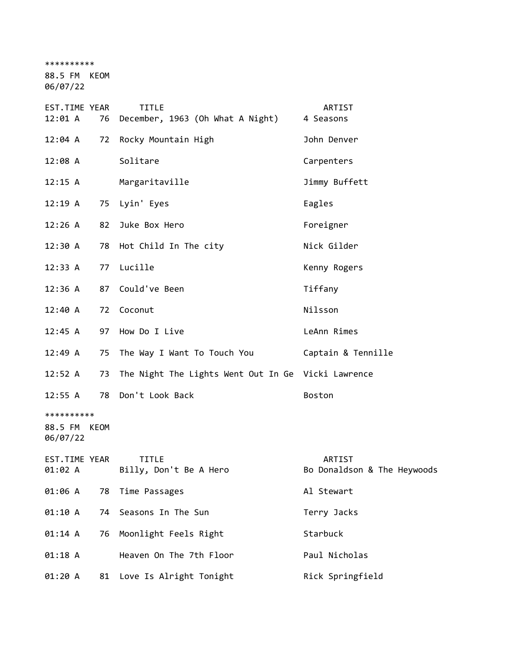\*\*\*\*\*\*\*\*\*\*

88.5 FM KEOM

06/07/22

| EST.TIME YEAR<br>12:01 A               |    | <b>TITLE</b><br>76 December, 1963 (Oh What A Night) | ARTIST<br>4 Seasons                   |
|----------------------------------------|----|-----------------------------------------------------|---------------------------------------|
| 12:04 A                                |    | 72 Rocky Mountain High                              | John Denver                           |
| 12:08A                                 |    | Solitare                                            | Carpenters                            |
| 12:15 A                                |    | Margaritaville                                      | Jimmy Buffett                         |
| 12:19A                                 |    | 75 Lyin' Eyes                                       | Eagles                                |
| 12:26 A                                | 82 | Juke Box Hero                                       | Foreigner                             |
| 12:30 A                                |    | 78 Hot Child In The city                            | Nick Gilder                           |
| 12:33 A                                |    | 77 Lucille                                          | Kenny Rogers                          |
| 12:36 A                                |    | 87 Could've Been                                    | Tiffany                               |
| 12:40 A                                |    | 72 Coconut                                          | Nilsson                               |
| 12:45 A                                |    | 97 How Do I Live                                    | LeAnn Rimes                           |
| 12:49 A                                |    | 75 The Way I Want To Touch You                      | Captain & Tennille                    |
| 12:52 A                                | 73 | The Night The Lights Went Out In Ge Vicki Lawrence  |                                       |
| 12:55 A                                |    | 78 Don't Look Back                                  | Boston                                |
| **********<br>88.5 FM KEOM<br>06/07/22 |    |                                                     |                                       |
| EST.TIME YEAR<br>01:02 A               |    | <b>TITLE</b><br>Billy, Don't Be A Hero              | ARTIST<br>Bo Donaldson & The Heywoods |
| 01:06 A                                | 78 | Time Passages                                       | Al Stewart                            |
| 01:10 A                                | 74 | Seasons In The Sun                                  | Terry Jacks                           |
| 01:14 A                                | 76 | Moonlight Feels Right                               | Starbuck                              |
| 01:18 A                                |    | Heaven On The 7th Floor                             | Paul Nicholas                         |
| 01:20 A                                | 81 | Love Is Alright Tonight                             | Rick Springfield                      |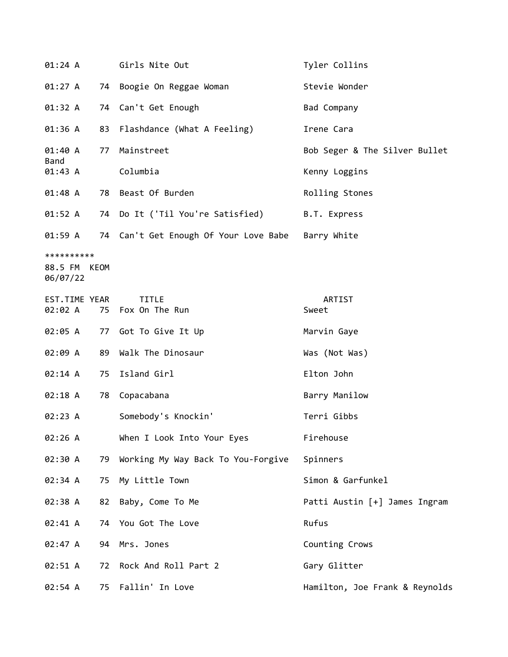| 01:24 A                                |    | Girls Nite Out                                            | Tyler Collins                  |
|----------------------------------------|----|-----------------------------------------------------------|--------------------------------|
| 01:27 A                                |    | 74 Boogie On Reggae Woman                                 | Stevie Wonder                  |
| 01:32 A                                |    | 74 Can't Get Enough                                       | Bad Company                    |
| 01:36 A                                |    | 83 Flashdance (What A Feeling)                            | Irene Cara                     |
| 01:40 A<br>Band                        | 77 | Mainstreet                                                | Bob Seger & The Silver Bullet  |
| 01:43 A                                |    | Columbia                                                  | Kenny Loggins                  |
| 01:48 A                                |    | 78 Beast Of Burden                                        | Rolling Stones                 |
| 01:52 A                                |    | 74 Do It ('Til You're Satisfied)                          | B.T. Express                   |
|                                        |    | 01:59 A 74 Can't Get Enough Of Your Love Babe Barry White |                                |
| **********<br>88.5 FM KEOM<br>06/07/22 |    |                                                           |                                |
| EST.TIME YEAR<br>02:02 A               |    | <b>TITLE</b><br>75 Fox On The Run                         | ARTIST<br>Sweet                |
| 02:05 A                                |    | 77 Got To Give It Up                                      | Marvin Gaye                    |
| 02:09 A                                | 89 | Walk The Dinosaur                                         | Was (Not Was)                  |
| 02:14 A                                | 75 | Island Girl                                               | Elton John                     |
| 02:18 A                                | 78 | Copacabana                                                | Barry Manilow                  |
| 02:23 A                                |    | Somebody's Knockin'                                       | Terri Gibbs                    |
| 02:26 A                                |    | When I Look Into Your Eyes                                | Firehouse                      |
| 02:30 A                                | 79 | Working My Way Back To You-Forgive                        | Spinners                       |
| 02:34 A                                | 75 | My Little Town                                            | Simon & Garfunkel              |
| 02:38 A                                | 82 | Baby, Come To Me                                          | Patti Austin [+] James Ingram  |
| 02:41 A                                |    | 74 You Got The Love                                       | Rufus                          |
| 02:47 A                                | 94 | Mrs. Jones                                                | Counting Crows                 |
| 02:51 A                                | 72 | Rock And Roll Part 2                                      | Gary Glitter                   |
| 02:54 A                                | 75 | Fallin' In Love                                           | Hamilton, Joe Frank & Reynolds |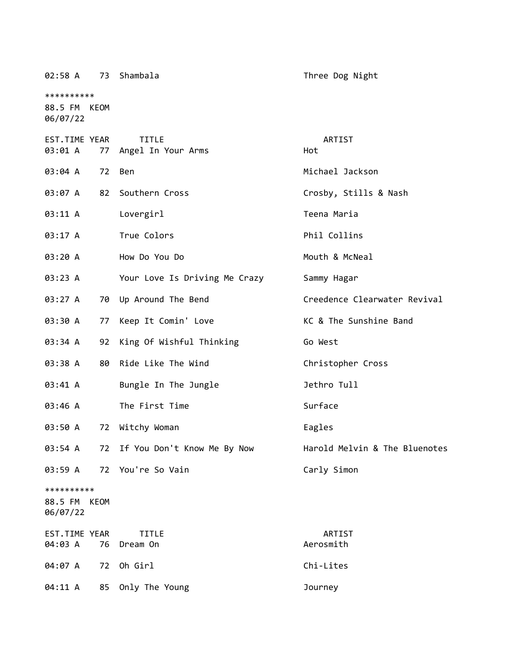| 02:58 A                           |      | 73 Shambala                        | Three Dog Night               |
|-----------------------------------|------|------------------------------------|-------------------------------|
| **********                        |      |                                    |                               |
| 88.5 FM KEOM<br>06/07/22          |      |                                    |                               |
| EST.TIME YEAR<br>03:01 A          | 77   | <b>TITLE</b><br>Angel In Your Arms | ARTIST<br>Hot                 |
| 03:04 A                           | 72   | Ben                                | Michael Jackson               |
| 03:07 A                           | 82   | Southern Cross                     | Crosby, Stills & Nash         |
| 03:11 A                           |      | Lovergirl                          | Teena Maria                   |
| 03:17 A                           |      | True Colors                        | Phil Collins                  |
| 03:20 A                           |      | How Do You Do                      | Mouth & McNeal                |
| 03:23 A                           |      | Your Love Is Driving Me Crazy      | Sammy Hagar                   |
| 03:27 A                           |      | 70 Up Around The Bend              | Creedence Clearwater Revival  |
| 03:30 A                           | 77   | Keep It Comin' Love                | KC & The Sunshine Band        |
| 03:34 A                           | 92   | King Of Wishful Thinking           | Go West                       |
| 03:38 A                           | 80   | Ride Like The Wind                 | Christopher Cross             |
| 03:41 A                           |      | Bungle In The Jungle               | Jethro Tull                   |
| 03:46 A                           |      | The First Time                     | Surface                       |
| 03:50 A                           | 72   | Witchy Woman                       | Eagles                        |
| 03:54 A                           |      | 72 If You Don't Know Me By Now     | Harold Melvin & The Bluenotes |
| 03:59 A                           |      | 72 You're So Vain                  | Carly Simon                   |
| **********<br>88.5 FM<br>06/07/22 | KEOM |                                    |                               |
| EST.TIME YEAR<br>04:03 A          | 76   | <b>TITLE</b><br>Dream On           | ARTIST<br>Aerosmith           |
| 04:07 A                           | 72   | Oh Girl                            | Chi-Lites                     |
| 04:11 A                           |      | 85 Only The Young                  | Journey                       |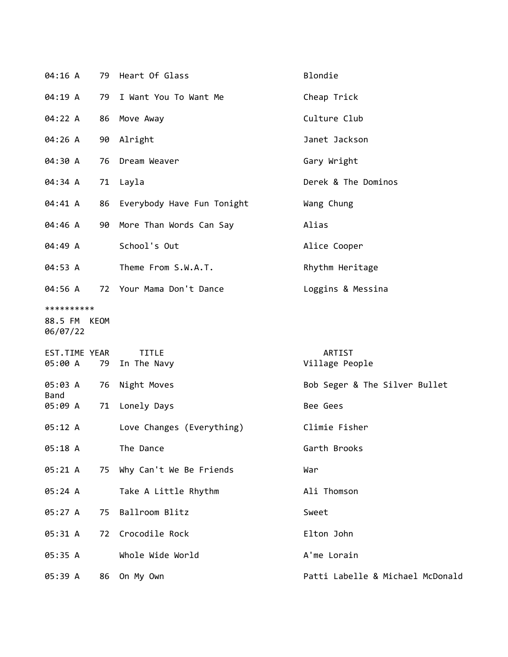| 04:16 A                                |    | 79 Heart Of Glass           | Blondie                          |
|----------------------------------------|----|-----------------------------|----------------------------------|
| 04:19 A                                | 79 | I Want You To Want Me       | Cheap Trick                      |
| 04:22 A                                |    | 86 Move Away                | Culture Club                     |
| 04:26 A                                |    | 90 Alright                  | Janet Jackson                    |
| 04:30 A                                |    | 76 Dream Weaver             | Gary Wright                      |
| 04:34 A                                |    | 71 Layla                    | Derek & The Dominos              |
| 04:41 A                                | 86 | Everybody Have Fun Tonight  | Wang Chung                       |
| 04:46 A                                |    | 90 More Than Words Can Say  | Alias                            |
| 04:49 A                                |    | School's Out                | Alice Cooper                     |
| 04:53 A                                |    | Theme From S.W.A.T.         | Rhythm Heritage                  |
| 04:56 A                                |    | 72 Your Mama Don't Dance    | Loggins & Messina                |
| **********<br>88.5 FM KEOM<br>06/07/22 |    |                             |                                  |
| EST.TIME YEAR<br>05:00 A               | 79 | <b>TITLE</b><br>In The Navy | ARTIST<br>Village People         |
| 05:03 A                                | 76 | Night Moves                 | Bob Seger & The Silver Bullet    |
| <b>Band</b><br>05:09 A                 |    | 71 Lonely Days              | Bee Gees                         |
| 05:12 A                                |    | Love Changes (Everything)   | Climie Fisher                    |
| 05:18 A                                |    | The Dance                   | Garth Brooks                     |
| 05:21 A                                | 75 | Why Can't We Be Friends     | War                              |
| 05:24 A                                |    | Take A Little Rhythm        | Ali Thomson                      |
| 05:27 A                                | 75 | Ballroom Blitz              | Sweet                            |
| 05:31 A                                | 72 | Crocodile Rock              | Elton John                       |
| 05:35 A                                |    | Whole Wide World            | A'me Lorain                      |
| 05:39 A                                |    | 86 On My Own                | Patti Labelle & Michael McDonald |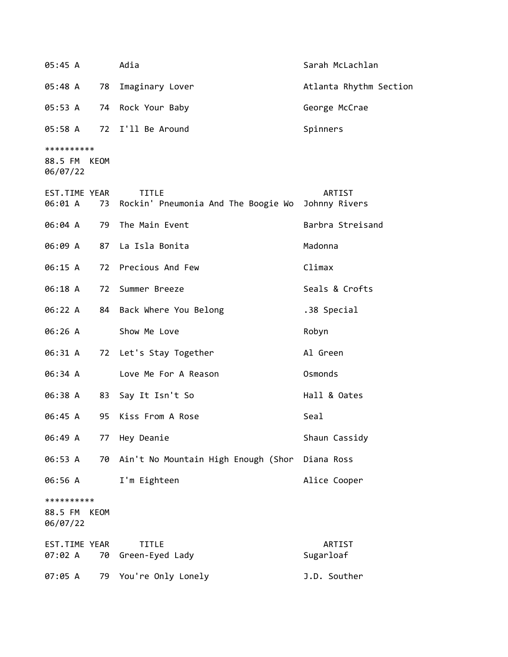| 05:45 A                                   | Adia                                                | Sarah McLachlan         |
|-------------------------------------------|-----------------------------------------------------|-------------------------|
| 78<br>05:48 A                             | Imaginary Lover                                     | Atlanta Rhythm Section  |
| 05:53 A                                   | 74 Rock Your Baby                                   | George McCrae           |
| 05:58 A                                   | 72 I'll Be Around                                   | Spinners                |
| **********<br>88.5 FM KEOM<br>06/07/22    |                                                     |                         |
| EST.TIME YEAR<br>06:01 A<br>73            | <b>TITLE</b><br>Rockin' Pneumonia And The Boogie Wo | ARTIST<br>Johnny Rivers |
| 06:04 A<br>79                             | The Main Event                                      | Barbra Streisand        |
| 06:09 A                                   | 87 La Isla Bonita                                   | Madonna                 |
| 06:15 A                                   | 72 Precious And Few                                 | Climax                  |
| 06:18 A<br>72                             | Summer Breeze                                       | Seals & Crofts          |
| 06:22 A                                   | 84 Back Where You Belong                            | .38 Special             |
| 06:26 A                                   | Show Me Love                                        | Robyn                   |
| 06:31 A                                   | 72 Let's Stay Together                              | Al Green                |
| 06:34 A                                   | Love Me For A Reason                                | Osmonds                 |
| 06:38 A<br>83                             | Say It Isn't So                                     | Hall & Oates            |
| 06:45 A<br>95                             | Kiss From A Rose                                    | Seal                    |
| 06:49 A<br>77                             | Hey Deanie                                          | Shaun Cassidy           |
| 06:53 A<br>70                             | Ain't No Mountain High Enough (Shor                 | Diana Ross              |
| 06:56 A                                   | I'm Eighteen                                        | Alice Cooper            |
| **********<br>88.5 FM<br>KEOM<br>06/07/22 |                                                     |                         |
| EST.TIME YEAR<br>07:02 A<br>70            | <b>TITLE</b><br>Green-Eyed Lady                     | ARTIST<br>Sugarloaf     |
| 07:05 A<br>79                             | You're Only Lonely                                  | J.D. Souther            |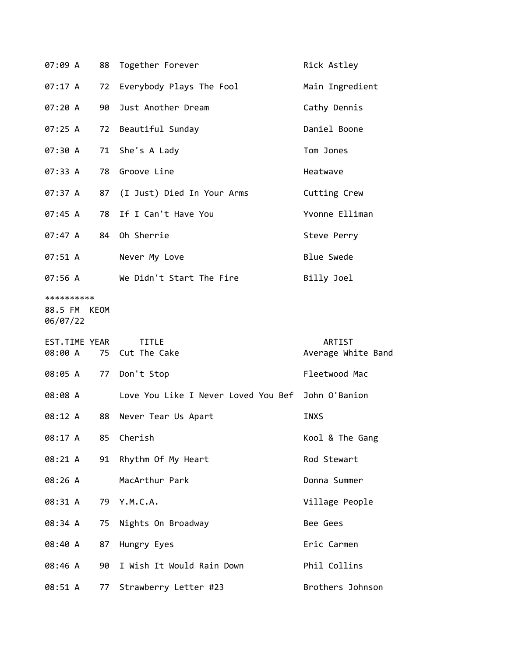| 07:09 A                                |    | 88 Together Forever                               | Rick Astley                  |
|----------------------------------------|----|---------------------------------------------------|------------------------------|
| 07:17 A                                | 72 | Everybody Plays The Fool                          | Main Ingredient              |
| 07:20 A                                | 90 | Just Another Dream                                | Cathy Dennis                 |
| 07:25 A                                |    | 72 Beautiful Sunday                               | Daniel Boone                 |
| 07:30 A                                |    | 71 She's A Lady                                   | Tom Jones                    |
| 07:33 A                                |    | 78 Groove Line                                    | Heatwave                     |
| 07:37 A                                |    | 87 (I Just) Died In Your Arms                     | Cutting Crew                 |
| 07:45 A                                |    | 78 If I Can't Have You                            | Yvonne Elliman               |
| 07:47 A                                |    | 84 Oh Sherrie                                     | Steve Perry                  |
| 07:51 A                                |    | Never My Love                                     | <b>Blue Swede</b>            |
| 07:56 A                                |    | We Didn't Start The Fire                          | Billy Joel                   |
| **********<br>88.5 FM KEOM<br>06/07/22 |    |                                                   |                              |
|                                        |    |                                                   |                              |
| EST.TIME YEAR<br>08:00 A               |    | <b>TITLE</b><br>75 Cut The Cake                   | ARTIST<br>Average White Band |
| 08:05 A                                | 77 | Don't Stop                                        | Fleetwood Mac                |
| 08:08 A                                |    | Love You Like I Never Loved You Bef John O'Banion |                              |
| 08:12 A                                | 88 | Never Tear Us Apart                               | INXS                         |
| 08:17 A                                | 85 | Cherish                                           | Kool & The Gang              |
| 08:21 A                                | 91 | Rhythm Of My Heart                                | Rod Stewart                  |
| 08:26 A                                |    | MacArthur Park                                    | Donna Summer                 |
| 08:31 A                                | 79 | Y.M.C.A.                                          | Village People               |
| 08:34 A                                | 75 | Nights On Broadway                                | Bee Gees                     |
| 08:40 A                                | 87 | Hungry Eyes                                       | Eric Carmen                  |
| 08:46 A                                | 90 | I Wish It Would Rain Down                         | Phil Collins                 |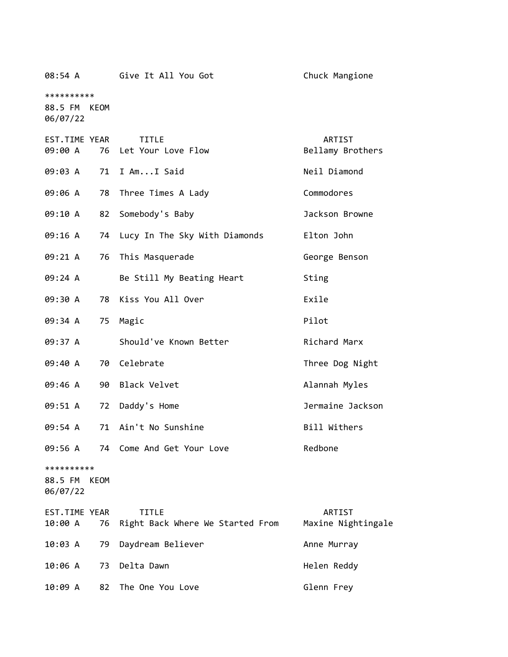| 08:54 A                                   | Give It All You Got                                    | Chuck Mangione               |
|-------------------------------------------|--------------------------------------------------------|------------------------------|
| **********<br>88.5 FM KEOM<br>06/07/22    |                                                        |                              |
| EST.TIME YEAR<br>09:00 A                  | <b>TITLE</b><br>76 Let Your Love Flow                  | ARTIST<br>Bellamy Brothers   |
| 09:03 A                                   | 71 I AmI Said                                          | Neil Diamond                 |
| 09:06 A                                   | 78<br>Three Times A Lady                               | Commodores                   |
| 09:10 A                                   | Somebody's Baby<br>82                                  | Jackson Browne               |
| 09:16 A                                   | 74 Lucy In The Sky With Diamonds                       | Elton John                   |
| 09:21 A                                   | 76<br>This Masquerade                                  | George Benson                |
| 09:24 A                                   | Be Still My Beating Heart                              | Sting                        |
| 09:30 A                                   | Kiss You All Over<br>78                                | Exile                        |
| 09:34 A                                   | Magic<br>75                                            | Pilot                        |
| 09:37 A                                   | Should've Known Better                                 | Richard Marx                 |
| 09:40 A<br>70                             | Celebrate                                              | Three Dog Night              |
| 09:46 A                                   | 90 Black Velvet                                        | Alannah Myles                |
| 09:51 A                                   | 72<br>Daddy's Home                                     | Jermaine Jackson             |
| 09:54 A                                   | Ain't No Sunshine<br>71                                | Bill Withers                 |
| 09:56 A                                   | 74 Come And Get Your Love                              | Redbone                      |
| **********<br>88.5 FM<br>KEOM<br>06/07/22 |                                                        |                              |
| EST.TIME YEAR<br>10:00 A                  | <b>TITLE</b><br>76<br>Right Back Where We Started From | ARTIST<br>Maxine Nightingale |
| 10:03 A<br>79                             | Daydream Believer                                      | Anne Murray                  |
| 10:06 A<br>73                             | Delta Dawn                                             | Helen Reddy                  |
| 82<br>10:09 A                             | The One You Love                                       | Glenn Frey                   |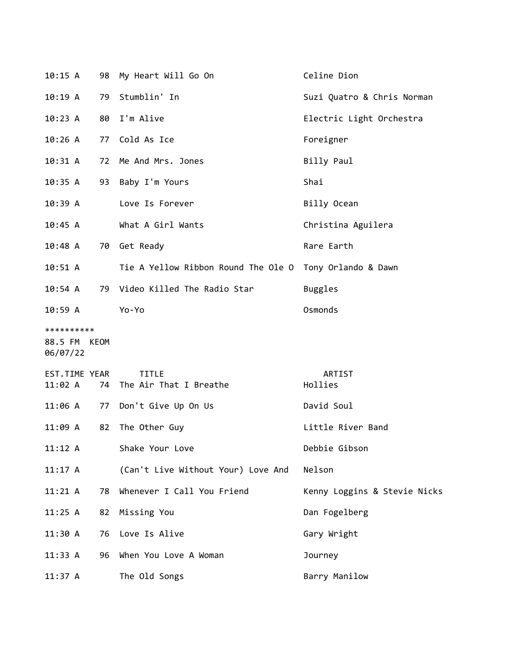| 10:15 A                                |    | 98 My Heart Will Go On                                  | Celine Dion                  |
|----------------------------------------|----|---------------------------------------------------------|------------------------------|
| 10:19 A                                |    | 79 Stumblin' In                                         | Suzi Quatro & Chris Norman   |
| 10:23 A                                | 80 | I'm Alive                                               | Electric Light Orchestra     |
| 10:26A                                 |    | 77 Cold As Ice                                          | Foreigner                    |
| 10:31 A                                |    | 72 Me And Mrs. Jones                                    | Billy Paul                   |
| 10:35 A                                |    | 93 Baby I'm Yours                                       | Shai                         |
| 10:39 A                                |    | Love Is Forever                                         | Billy Ocean                  |
| 10:45 A                                |    | What A Girl Wants                                       | Christina Aguilera           |
| 10:48 A                                |    | 70 Get Ready                                            | Rare Earth                   |
| 10:51 A                                |    | Tie A Yellow Ribbon Round The Ole O Tony Orlando & Dawn |                              |
| 10:54 A                                |    | 79 Video Killed The Radio Star                          | Buggles                      |
| 10:59 A                                |    | Yo-Yo                                                   | Osmonds                      |
| **********<br>88.5 FM KEOM<br>06/07/22 |    |                                                         |                              |
| EST.TIME YEAR<br>11:02 A               | 74 | <b>TITLE</b><br>The Air That I Breathe                  | ARTIST<br>Hollies            |
|                                        |    | 11:06 A 77 Don't Give Up On Us                          | David Soul                   |
| 11:09 A                                | 82 | The Other Guy                                           | Little River Band            |
| 11:12 A                                |    | Shake Your Love                                         | Debbie Gibson                |
| 11:17 A                                |    | (Can't Live Without Your) Love And                      | Nelson                       |
| 11:21 A                                | 78 | Whenever I Call You Friend                              | Kenny Loggins & Stevie Nicks |
| 11:25 A                                | 82 | Missing You                                             | Dan Fogelberg                |
| 11:30 A                                | 76 | Love Is Alive                                           | Gary Wright                  |
| 11:33 A                                | 96 | When You Love A Woman                                   | Journey                      |
| 11:37 A                                |    | The Old Songs                                           | Barry Manilow                |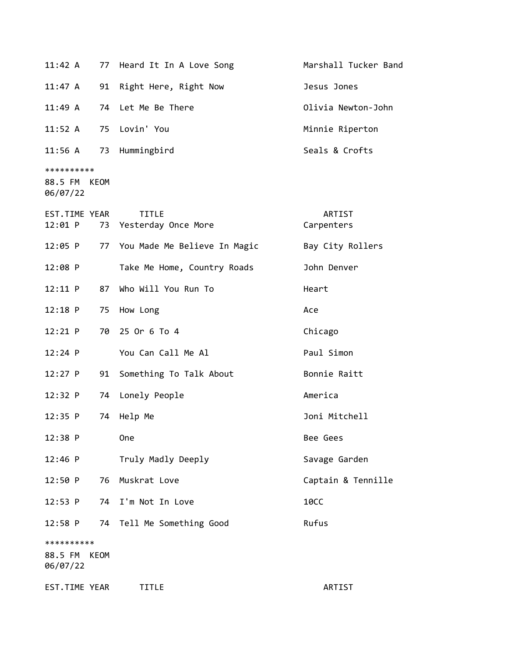| $11:42 \; A$                      |      | 77 Heard It In A Love Song             | Marshall Tucker Band |
|-----------------------------------|------|----------------------------------------|----------------------|
| 11:47 A                           | 91   | Right Here, Right Now                  | Jesus Jones          |
| 11:49 A                           |      | 74 Let Me Be There                     | Olivia Newton-John   |
| 11:52 A                           |      | 75 Lovin' You                          | Minnie Riperton      |
| 11:56 A                           |      | 73 Hummingbird                         | Seals & Crofts       |
| **********                        |      |                                        |                      |
| 88.5 FM KEOM<br>06/07/22          |      |                                        |                      |
| EST.TIME YEAR<br>12:01 P          |      | <b>TITLE</b><br>73 Yesterday Once More | ARTIST<br>Carpenters |
| 12:05 P                           |      | 77 You Made Me Believe In Magic        | Bay City Rollers     |
| 12:08 P                           |      | Take Me Home, Country Roads            | John Denver          |
| 12:11 P                           | 87   | Who Will You Run To                    | Heart                |
| $12:18$ P                         |      | 75 How Long                            | Ace                  |
| 12:21 P                           | 70   | 25 Or 6 To 4                           | Chicago              |
| $12:24$ P                         |      | You Can Call Me Al                     | Paul Simon           |
| $12:27$ P                         | 91   | Something To Talk About                | Bonnie Raitt         |
| 12:32 P                           | 74   | Lonely People                          | America              |
| $12:35$ P                         | 74   | Help Me                                | Joni Mitchell        |
| 12:38 P                           |      | <b>One</b>                             | Bee Gees             |
| $12:46$ P                         |      | Truly Madly Deeply                     | Savage Garden        |
| 12:50 P                           | 76   | Muskrat Love                           | Captain & Tennille   |
| 12:53 P                           | 74   | I'm Not In Love                        | <b>10CC</b>          |
| $12:58$ P                         | 74   | Tell Me Something Good                 | Rufus                |
| **********<br>88.5 FM<br>06/07/22 | KEOM |                                        |                      |
| EST.TIME YEAR                     |      | <b>TITLE</b>                           | ARTIST               |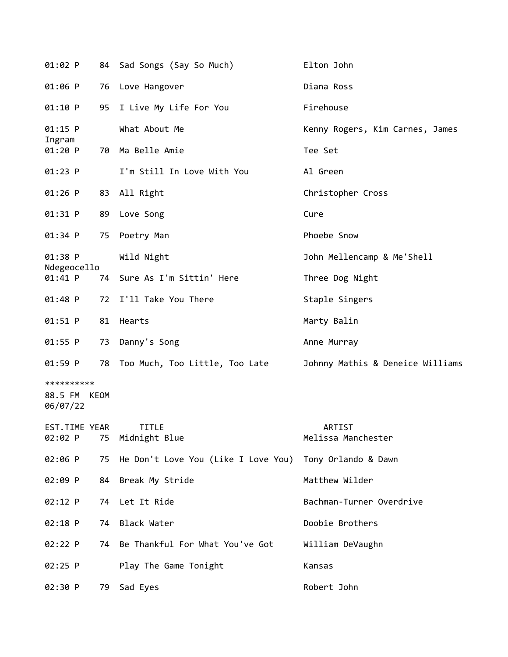| 01:02 P                                |    | 84 Sad Songs (Say So Much)          | Elton John                       |
|----------------------------------------|----|-------------------------------------|----------------------------------|
| 01:06 P                                |    | 76 Love Hangover                    | Diana Ross                       |
| 01:10 P                                |    | 95 I Live My Life For You           | Firehouse                        |
| $01:15$ P<br>Ingram                    |    | What About Me                       | Kenny Rogers, Kim Carnes, James  |
| 01:20 P                                | 70 | Ma Belle Amie                       | Tee Set                          |
| $01:23$ P                              |    | I'm Still In Love With You          | Al Green                         |
| $01:26$ P                              |    | 83 All Right                        | Christopher Cross                |
| $01:31$ P                              |    | 89 Love Song                        | Cure                             |
| $01:34$ P                              | 75 | Poetry Man                          | Phoebe Snow                      |
| 01:38 P<br>Ndegeocello                 |    | Wild Night                          | John Mellencamp & Me'Shell       |
| $01:41$ P                              | 74 | Sure As I'm Sittin' Here            | Three Dog Night                  |
| $01:48$ P                              | 72 | I'll Take You There                 | Staple Singers                   |
| 01:51 P                                | 81 | Hearts                              | Marty Balin                      |
| $01:55$ P                              | 73 | Danny's Song                        | Anne Murray                      |
| $01:59$ P                              |    | 78 Too Much, Too Little, Too Late   | Johnny Mathis & Deneice Williams |
| **********<br>88.5 FM KEOM<br>06/07/22 |    |                                     |                                  |
| EST.TIME YEAR<br>02:02 P               | 75 | TITLE<br>Midnight Blue              | ARTIST<br>Melissa Manchester     |
| 02:06 P                                | 75 | He Don't Love You (Like I Love You) | Tony Orlando & Dawn              |
| 02:09 P                                | 84 | Break My Stride                     | Matthew Wilder                   |
| 02:12 P                                | 74 | Let It Ride                         | Bachman-Turner Overdrive         |
| 02:18 P                                | 74 | Black Water                         | Doobie Brothers                  |
| 02:22 P                                | 74 | Be Thankful For What You've Got     | William DeVaughn                 |
| $02:25$ P                              |    | Play The Game Tonight               | Kansas                           |
| 02:30 P                                | 79 | Sad Eyes                            | Robert John                      |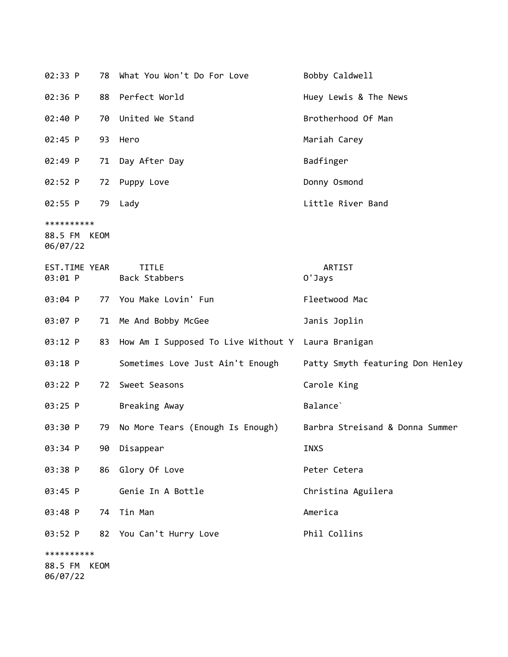| 02:33 P                                | 78 - | What You Won't Do For Love                         | Bobby Caldwell                   |
|----------------------------------------|------|----------------------------------------------------|----------------------------------|
| 02:36 P                                | 88   | Perfect World                                      | Huey Lewis & The News            |
| 02:40 P                                | 70   | United We Stand                                    | Brotherhood Of Man               |
| 02:45 P                                | 93   | Hero                                               | Mariah Carey                     |
| 02:49 P                                | 71   | Day After Day                                      | Badfinger                        |
| 02:52 P                                | 72   | Puppy Love                                         | Donny Osmond                     |
| $02:55$ P                              | 79   | Lady                                               | Little River Band                |
| **********<br>88.5 FM KEOM<br>06/07/22 |      |                                                    |                                  |
| EST.TIME YEAR<br>03:01 P               |      | <b>TITLE</b><br>Back Stabbers                      | ARTIST<br>0'Jays                 |
| 03:04 P                                | 77   | You Make Lovin' Fun                                | Fleetwood Mac                    |
| 03:07 P                                |      | 71 Me And Bobby McGee                              | Janis Joplin                     |
| 03:12 P                                | 83   | How Am I Supposed To Live Without Y Laura Branigan |                                  |
| 03:18 P                                |      | Sometimes Love Just Ain't Enough                   | Patty Smyth featuring Don Henley |
| 03:22 P                                | 72   | Sweet Seasons                                      | Carole King                      |
| $03:25$ P                              |      | Breaking Away                                      | Balance <sup>'</sup>             |
| 03:30 P                                | 79   | No More Tears (Enough Is Enough)                   | Barbra Streisand & Donna Summer  |
| 03:34 P                                | 90   | Disappear                                          | <b>INXS</b>                      |
| 03:38 P                                | 86   | Glory Of Love                                      | Peter Cetera                     |
| 03:45 P                                |      | Genie In A Bottle                                  | Christina Aguilera               |
| 03:48 P                                | 74   | Tin Man                                            | America                          |
| 03:52 P                                |      | 82 You Can't Hurry Love                            | Phil Collins                     |
| **********<br>88.5 FM                  | KEOM |                                                    |                                  |

06/07/22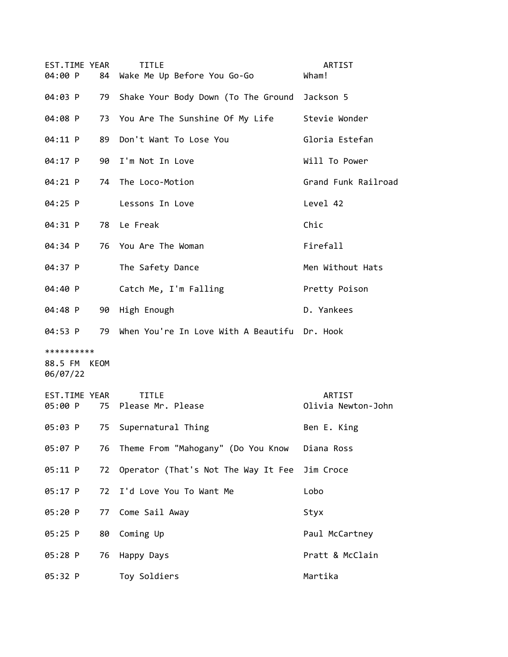| EST.TIME YEAR<br>04:00 P               |    | <b>TITLE</b><br>84 Wake Me Up Before You Go-Go   | ARTIST<br>Wham!              |
|----------------------------------------|----|--------------------------------------------------|------------------------------|
| 04:03 P                                |    | 79 Shake Your Body Down (To The Ground Jackson 5 |                              |
| 04:08 P                                |    | 73 You Are The Sunshine Of My Life               | Stevie Wonder                |
| 04:11 P                                | 89 | Don't Want To Lose You                           | Gloria Estefan               |
| 04:17 P                                | 90 | I'm Not In Love                                  | Will To Power                |
| 04:21 P                                |    | 74 The Loco-Motion                               | Grand Funk Railroad          |
| 04:25 P                                |    | Lessons In Love                                  | Level 42                     |
| 04:31 P                                |    | 78 Le Freak                                      | Chic                         |
| 04:34 P                                |    | 76 You Are The Woman                             | Firefall                     |
| 04:37 P                                |    | The Safety Dance                                 | Men Without Hats             |
| 04:40 P                                |    | Catch Me, I'm Falling                            | Pretty Poison                |
| 04:48 P                                |    | 90 High Enough                                   | D. Yankees                   |
|                                        |    |                                                  |                              |
| 04:53 P                                |    | 79 When You're In Love With A Beautifu Dr. Hook  |                              |
| **********<br>88.5 FM KEOM<br>06/07/22 |    |                                                  |                              |
| EST.TIME YEAR<br>05:00 P               |    | <b>TITLE</b><br>75 Please Mr. Please             | ARTIST<br>Olivia Newton-John |
| 05:03 P                                | 75 | Supernatural Thing                               | Ben E. King                  |
| 05:07 P                                | 76 | Theme From "Mahogany" (Do You Know               | Diana Ross                   |
| 05:11 P                                | 72 | Operator (That's Not The Way It Fee              | Jim Croce                    |
| 05:17 P                                | 72 | I'd Love You To Want Me                          | Lobo                         |
| 05:20 P                                | 77 | Come Sail Away                                   | Styx                         |
| 05:25 P                                | 80 | Coming Up                                        | Paul McCartney               |
| 05:28 P                                | 76 | Happy Days                                       | Pratt & McClain              |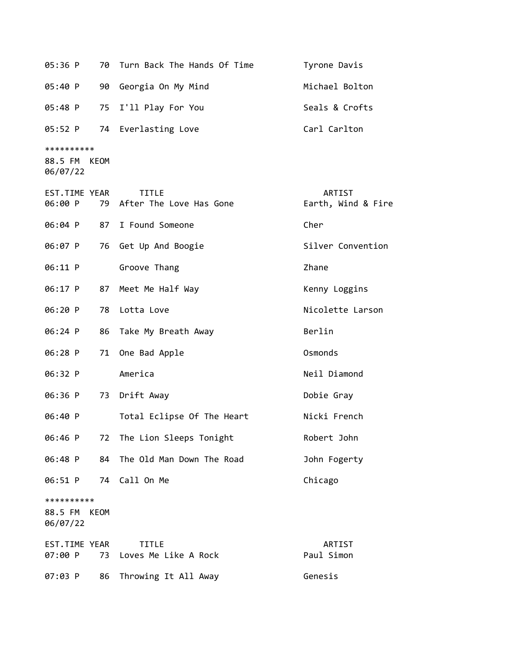| 05:36 P                                | 70 - | Turn Back The Hands Of Time             | Tyrone Davis                 |
|----------------------------------------|------|-----------------------------------------|------------------------------|
| 05:40 P                                | 90   | Georgia On My Mind                      | Michael Bolton               |
| 05:48 P                                | 75   | I'll Play For You                       | Seals & Crofts               |
| 05:52 P                                |      | 74 Everlasting Love                     | Carl Carlton                 |
| **********<br>88.5 FM KEOM<br>06/07/22 |      |                                         |                              |
| EST.TIME YEAR<br>06:00 P               | 79   | <b>TITLE</b><br>After The Love Has Gone | ARTIST<br>Earth, Wind & Fire |
| 06:04 P                                | 87   | I Found Someone                         | Cher                         |
| 06:07 P                                | 76   | Get Up And Boogie                       | Silver Convention            |
| 06:11 P                                |      | Groove Thang                            | Zhane                        |
| 06:17 P                                | 87   | Meet Me Half Way                        | Kenny Loggins                |
| 06:20 P                                | 78   | Lotta Love                              | Nicolette Larson             |
| 06:24 P                                | 86   | Take My Breath Away                     | Berlin                       |
| 06:28 P                                | 71   | One Bad Apple                           | Osmonds                      |
| 06:32 P                                |      | America                                 | Neil Diamond                 |
| 06:36 P                                | 73   | Drift Away                              | Dobie Gray                   |
| 06:40 P                                |      | Total Eclipse Of The Heart              | Nicki French                 |
| 06:46 P                                |      | 72 The Lion Sleeps Tonight              | Robert John                  |
| 06:48 P                                | 84   | The Old Man Down The Road               | John Fogerty                 |
| 06:51 P                                | 74   | Call On Me                              | Chicago                      |
| **********<br>88.5 FM<br>06/07/22      | KEOM |                                         |                              |
| EST.TIME YEAR<br>07:00 P               | 73   | <b>TITLE</b><br>Loves Me Like A Rock    | ARTIST<br>Paul Simon         |
| 07:03 P                                | 86   | Throwing It All Away                    | Genesis                      |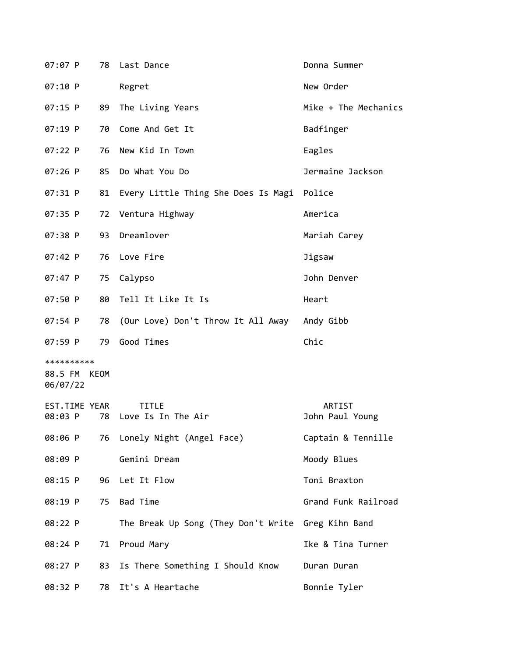| 07:07 P                                | 78 | Last Dance                                   | Donna Summer              |
|----------------------------------------|----|----------------------------------------------|---------------------------|
| 07:10 P                                |    | Regret                                       | New Order                 |
| $07:15$ P                              | 89 | The Living Years                             | Mike + The Mechanics      |
| 07:19 P                                | 70 | Come And Get It                              | Badfinger                 |
| 07:22 P                                | 76 | New Kid In Town                              | Eagles                    |
| $07:26$ P                              | 85 | Do What You Do                               | Jermaine Jackson          |
| 07:31 P                                | 81 | Every Little Thing She Does Is Magi Police   |                           |
| $07:35$ P                              | 72 | Ventura Highway                              | America                   |
| $07:38$ P                              | 93 | Dreamlover                                   | Mariah Carey              |
| $07:42$ P                              | 76 | Love Fire                                    | Jigsaw                    |
| $07:47$ P                              | 75 | Calypso                                      | John Denver               |
| 07:50 P                                | 80 | Tell It Like It Is                           | Heart                     |
| $07:54$ P                              | 78 | (Our Love) Don't Throw It All Away Andy Gibb |                           |
| 07:59 P                                | 79 | Good Times                                   | Chic                      |
| **********<br>88.5 FM KEOM<br>06/07/22 |    |                                              |                           |
| EST.TIME YEAR<br>08:03 P               | 78 | TITLE<br>Love Is In The Air                  | ARTIST<br>John Paul Young |
| 08:06 P                                | 76 | Lonely Night (Angel Face)                    | Captain & Tennille        |
| 08:09 P                                |    | Gemini Dream                                 | Moody Blues               |
| 08:15 P                                | 96 | Let It Flow                                  | Toni Braxton              |
| 08:19 P                                | 75 | Bad Time                                     | Grand Funk Railroad       |
| 08:22 P                                |    | The Break Up Song (They Don't Write          | Greg Kihn Band            |
| 08:24 P                                | 71 | Proud Mary                                   | Ike & Tina Turner         |
| 08:27 P                                | 83 | Is There Something I Should Know             | Duran Duran               |
| 08:32 P                                | 78 | It's A Heartache                             | Bonnie Tyler              |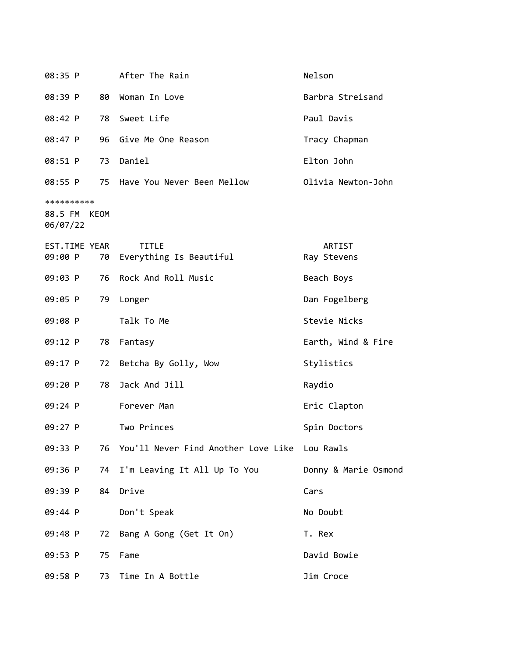| 08:35 P                           |      | After The Rain                                   | Nelson                |
|-----------------------------------|------|--------------------------------------------------|-----------------------|
| 08:39 P                           | 80   | Woman In Love                                    | Barbra Streisand      |
| 08:42 P                           | 78   | Sweet Life                                       | Paul Davis            |
| 08:47 P                           | 96   | Give Me One Reason                               | Tracy Chapman         |
| 08:51 P                           | 73   | Daniel                                           | Elton John            |
| 08:55 P                           |      | 75 Have You Never Been Mellow                    | Olivia Newton-John    |
| **********<br>88.5 FM<br>06/07/22 | KEOM |                                                  |                       |
| EST.TIME YEAR<br>09:00 P          |      | <b>TITLE</b><br>70 Everything Is Beautiful       | ARTIST<br>Ray Stevens |
| 09:03 P                           | 76   | Rock And Roll Music                              | Beach Boys            |
| 09:05 P                           | 79   | Longer                                           | Dan Fogelberg         |
| 09:08 P                           |      | Talk To Me                                       | Stevie Nicks          |
| 09:12 P                           | 78   | Fantasy                                          | Earth, Wind & Fire    |
| 09:17 P                           | 72   | Betcha By Golly, Wow                             | Stylistics            |
| 09:20 P                           | 78   | Jack And Jill                                    | Raydio                |
| 09:24 P                           |      | Forever Man                                      | Eric Clapton          |
| 09:27 P                           |      | Two Princes                                      | Spin Doctors          |
| 09:33 P                           |      | 76 You'll Never Find Another Love Like Lou Rawls |                       |
| 09:36 P                           |      | 74 I'm Leaving It All Up To You                  | Donny & Marie Osmond  |
| 09:39 P                           | 84   | Drive                                            | Cars                  |
| 09:44 P                           |      | Don't Speak                                      | No Doubt              |
| 09:48 P                           |      | 72 Bang A Gong (Get It On)                       | T. Rex                |
| 09:53 P                           | 75   | Fame                                             | David Bowie           |
| 09:58 P                           | 73   | Time In A Bottle                                 | Jim Croce             |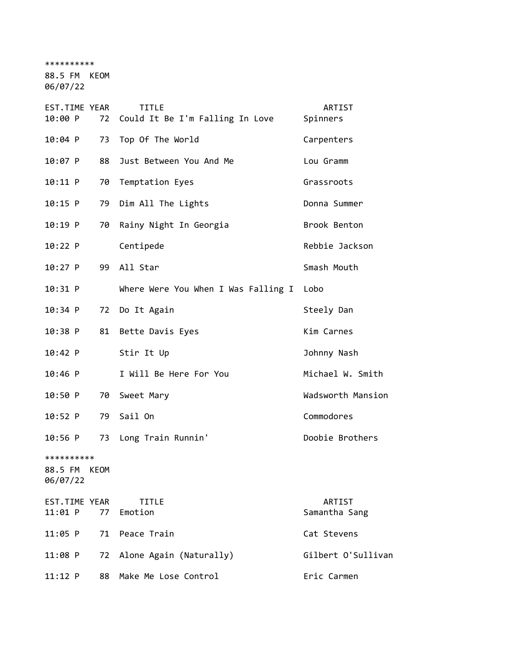\*\*\*\*\*\*\*\*\*\*

88.5 FM KEOM

06/07/22

| EST.TIME YEAR                     |      | <b>TITLE</b>                             | ARTIST                  |
|-----------------------------------|------|------------------------------------------|-------------------------|
| 10:00 P                           | 72   | Could It Be I'm Falling In Love          | Spinners                |
| $10:04$ P                         | 73   | Top Of The World                         | Carpenters              |
| 10:07 P                           | 88   | Just Between You And Me                  | Lou Gramm               |
| 10:11 P                           | 70   | Temptation Eyes                          | Grassroots              |
| 10:15 P                           |      | 79 Dim All The Lights                    | Donna Summer            |
| $10:19$ P                         | 70   | Rainy Night In Georgia                   | Brook Benton            |
| 10:22 P                           |      | Centipede                                | Rebbie Jackson          |
| $10:27$ P                         | 99   | All Star                                 | Smash Mouth             |
| 10:31 P                           |      | Where Were You When I Was Falling I Lobo |                         |
| 10:34 P                           | 72   | Do It Again                              | Steely Dan              |
| $10:38$ P                         |      | 81 Bette Davis Eyes                      | Kim Carnes              |
| $10:42$ P                         |      | Stir It Up                               | Johnny Nash             |
| $10:46$ P                         |      | I Will Be Here For You                   | Michael W. Smith        |
| 10:50 P                           | 70   | Sweet Mary                               | Wadsworth Mansion       |
| 10:52 P                           | 79   | Sail On                                  | Commodores              |
| $10:56$ P                         | 73   | Long Train Runnin'                       | Doobie Brothers         |
| **********<br>88.5 FM<br>06/07/22 | KEOM |                                          |                         |
| EST.TIME YEAR<br>$11:01$ P        | 77   | <b>TITLE</b><br>Emotion                  | ARTIST<br>Samantha Sang |
| $11:05$ P                         | 71   | Peace Train                              | Cat Stevens             |
| 11:08 P                           | 72   | Alone Again (Naturally)                  | Gilbert O'Sullivan      |
| $11:12$ P                         | 88   | Make Me Lose Control                     | Eric Carmen             |